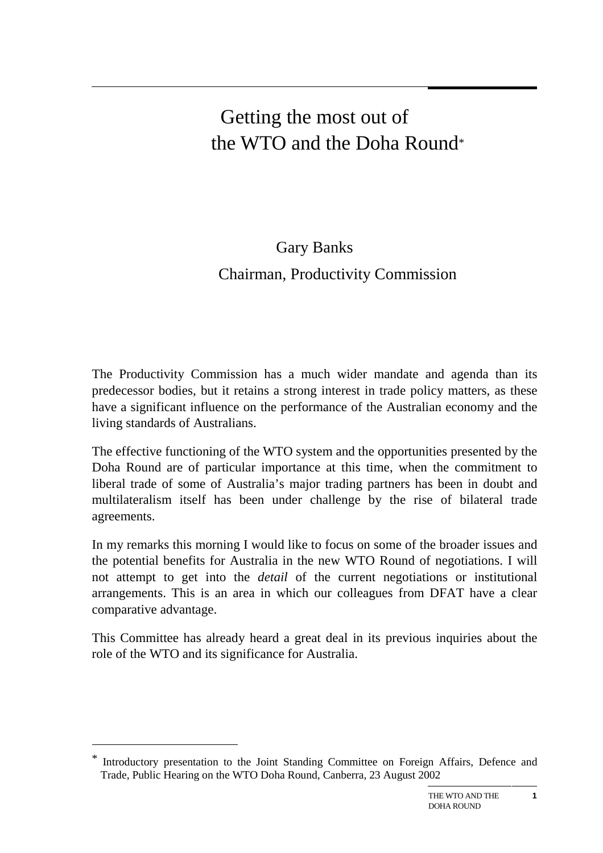# Getting the most out of the WTO and the Doha Round\*

# Gary Banks Chairman, Productivity Commission

The Productivity Commission has a much wider mandate and agenda than its predecessor bodies, but it retains a strong interest in trade policy matters, as these have a significant influence on the performance of the Australian economy and the living standards of Australians.

The effective functioning of the WTO system and the opportunities presented by the Doha Round are of particular importance at this time, when the commitment to liberal trade of some of Australia's major trading partners has been in doubt and multilateralism itself has been under challenge by the rise of bilateral trade agreements.

In my remarks this morning I would like to focus on some of the broader issues and the potential benefits for Australia in the new WTO Round of negotiations. I will not attempt to get into the *detail* of the current negotiations or institutional arrangements. This is an area in which our colleagues from DFAT have a clear comparative advantage.

This Committee has already heard a great deal in its previous inquiries about the role of the WTO and its significance for Australia.

 $\overline{a}$ 

Introductory presentation to the Joint Standing Committee on Foreign Affairs, Defence and Trade, Public Hearing on the WTO Doha Round, Canberra, 23 August 2002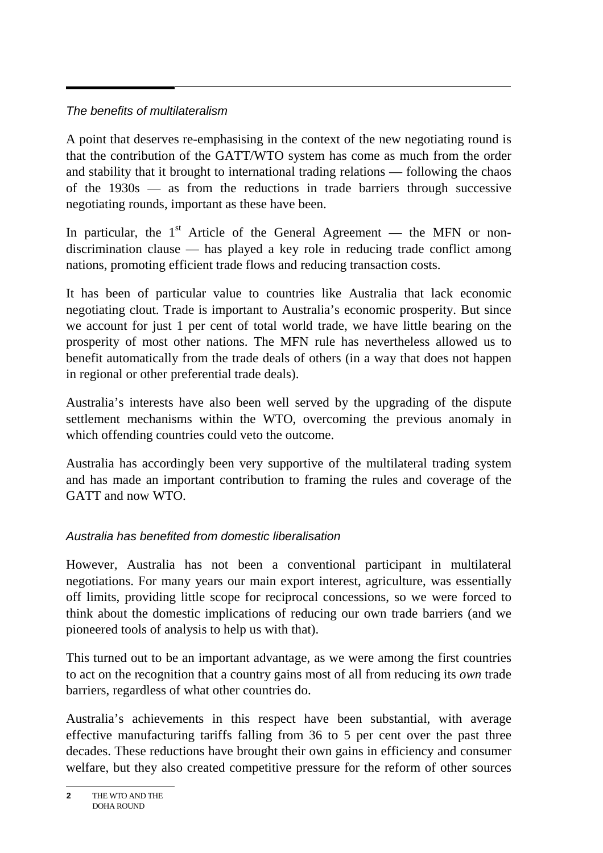## The benefits of multilateralism

A point that deserves re-emphasising in the context of the new negotiating round is that the contribution of the GATT/WTO system has come as much from the order and stability that it brought to international trading relations — following the chaos of the 1930s — as from the reductions in trade barriers through successive negotiating rounds, important as these have been.

In particular, the  $1<sup>st</sup>$  Article of the General Agreement — the MFN or nondiscrimination clause — has played a key role in reducing trade conflict among nations, promoting efficient trade flows and reducing transaction costs.

It has been of particular value to countries like Australia that lack economic negotiating clout. Trade is important to Australia's economic prosperity. But since we account for just 1 per cent of total world trade, we have little bearing on the prosperity of most other nations. The MFN rule has nevertheless allowed us to benefit automatically from the trade deals of others (in a way that does not happen in regional or other preferential trade deals).

Australia's interests have also been well served by the upgrading of the dispute settlement mechanisms within the WTO, overcoming the previous anomaly in which offending countries could veto the outcome.

Australia has accordingly been very supportive of the multilateral trading system and has made an important contribution to framing the rules and coverage of the GATT and now WTO.

# Australia has benefited from domestic liberalisation

However, Australia has not been a conventional participant in multilateral negotiations. For many years our main export interest, agriculture, was essentially off limits, providing little scope for reciprocal concessions, so we were forced to think about the domestic implications of reducing our own trade barriers (and we pioneered tools of analysis to help us with that).

This turned out to be an important advantage, as we were among the first countries to act on the recognition that a country gains most of all from reducing its *own* trade barriers, regardless of what other countries do.

Australia's achievements in this respect have been substantial, with average effective manufacturing tariffs falling from 36 to 5 per cent over the past three decades. These reductions have brought their own gains in efficiency and consumer welfare, but they also created competitive pressure for the reform of other sources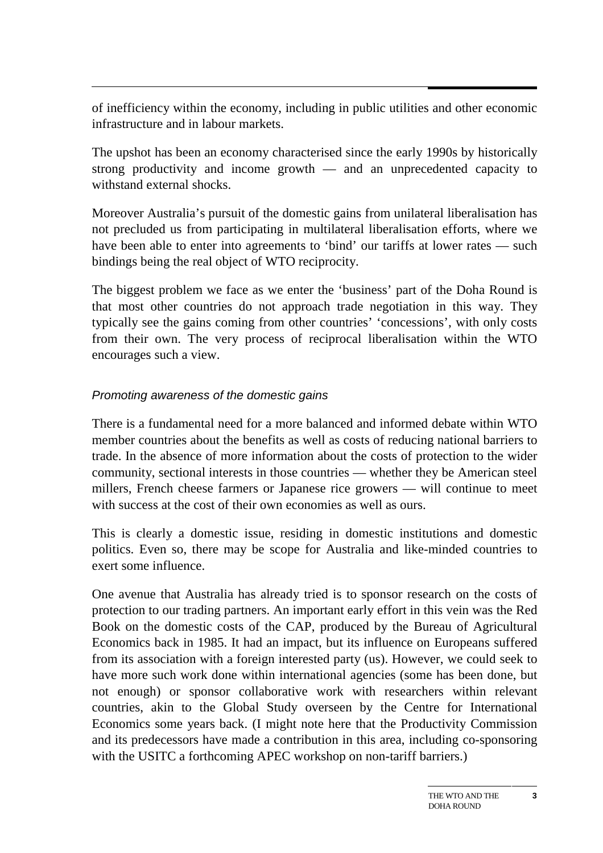of inefficiency within the economy, including in public utilities and other economic infrastructure and in labour markets.

The upshot has been an economy characterised since the early 1990s by historically strong productivity and income growth — and an unprecedented capacity to withstand external shocks.

Moreover Australia's pursuit of the domestic gains from unilateral liberalisation has not precluded us from participating in multilateral liberalisation efforts, where we have been able to enter into agreements to 'bind' our tariffs at lower rates — such bindings being the real object of WTO reciprocity.

The biggest problem we face as we enter the 'business' part of the Doha Round is that most other countries do not approach trade negotiation in this way. They typically see the gains coming from other countries' 'concessions', with only costs from their own. The very process of reciprocal liberalisation within the WTO encourages such a view.

#### Promoting awareness of the domestic gains

There is a fundamental need for a more balanced and informed debate within WTO member countries about the benefits as well as costs of reducing national barriers to trade. In the absence of more information about the costs of protection to the wider community, sectional interests in those countries — whether they be American steel millers, French cheese farmers or Japanese rice growers — will continue to meet with success at the cost of their own economies as well as ours.

This is clearly a domestic issue, residing in domestic institutions and domestic politics. Even so, there may be scope for Australia and like-minded countries to exert some influence.

One avenue that Australia has already tried is to sponsor research on the costs of protection to our trading partners. An important early effort in this vein was the Red Book on the domestic costs of the CAP, produced by the Bureau of Agricultural Economics back in 1985. It had an impact, but its influence on Europeans suffered from its association with a foreign interested party (us). However, we could seek to have more such work done within international agencies (some has been done, but not enough) or sponsor collaborative work with researchers within relevant countries, akin to the Global Study overseen by the Centre for International Economics some years back. (I might note here that the Productivity Commission and its predecessors have made a contribution in this area, including co-sponsoring with the USITC a forthcoming APEC workshop on non-tariff barriers.)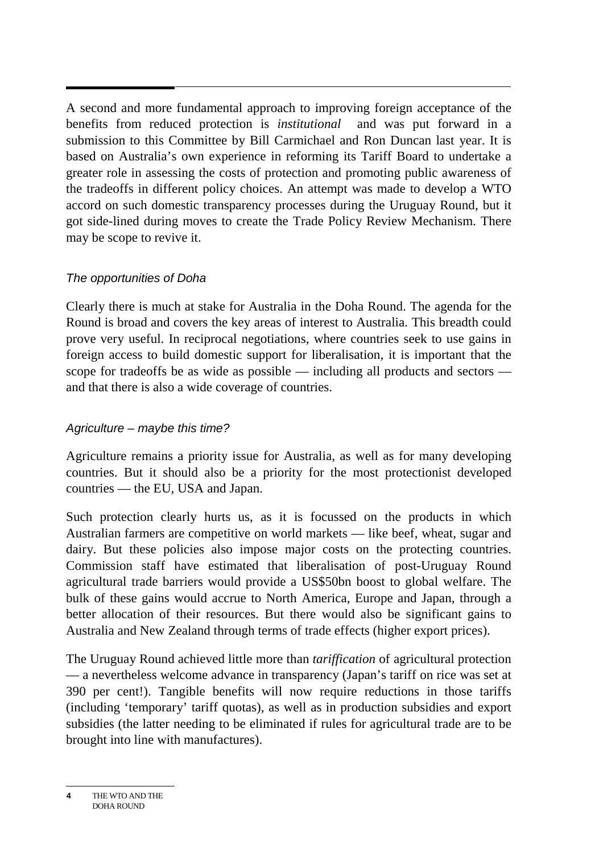A second and more fundamental approach to improving foreign acceptance of the benefits from reduced protection is *institutional* and was put forward in a submission to this Committee by Bill Carmichael and Ron Duncan last year. It is based on Australia's own experience in reforming its Tariff Board to undertake a greater role in assessing the costs of protection and promoting public awareness of the tradeoffs in different policy choices. An attempt was made to develop a WTO accord on such domestic transparency processes during the Uruguay Round, but it got side-lined during moves to create the Trade Policy Review Mechanism. There may be scope to revive it.

#### The opportunities of Doha

Clearly there is much at stake for Australia in the Doha Round. The agenda for the Round is broad and covers the key areas of interest to Australia. This breadth could prove very useful. In reciprocal negotiations, where countries seek to use gains in foreign access to build domestic support for liberalisation, it is important that the scope for tradeoffs be as wide as possible — including all products and sectors and that there is also a wide coverage of countries.

#### Agriculture – maybe this time?

Agriculture remains a priority issue for Australia, as well as for many developing countries. But it should also be a priority for the most protectionist developed countries — the EU, USA and Japan.

Such protection clearly hurts us, as it is focussed on the products in which Australian farmers are competitive on world markets — like beef, wheat, sugar and dairy. But these policies also impose major costs on the protecting countries. Commission staff have estimated that liberalisation of post-Uruguay Round agricultural trade barriers would provide a US\$50bn boost to global welfare. The bulk of these gains would accrue to North America, Europe and Japan, through a better allocation of their resources. But there would also be significant gains to Australia and New Zealand through terms of trade effects (higher export prices).

The Uruguay Round achieved little more than *tariffication* of agricultural protection — a nevertheless welcome advance in transparency (Japan's tariff on rice was set at 390 per cent!). Tangible benefits will now require reductions in those tariffs (including 'temporary' tariff quotas), as well as in production subsidies and export subsidies (the latter needing to be eliminated if rules for agricultural trade are to be brought into line with manufactures).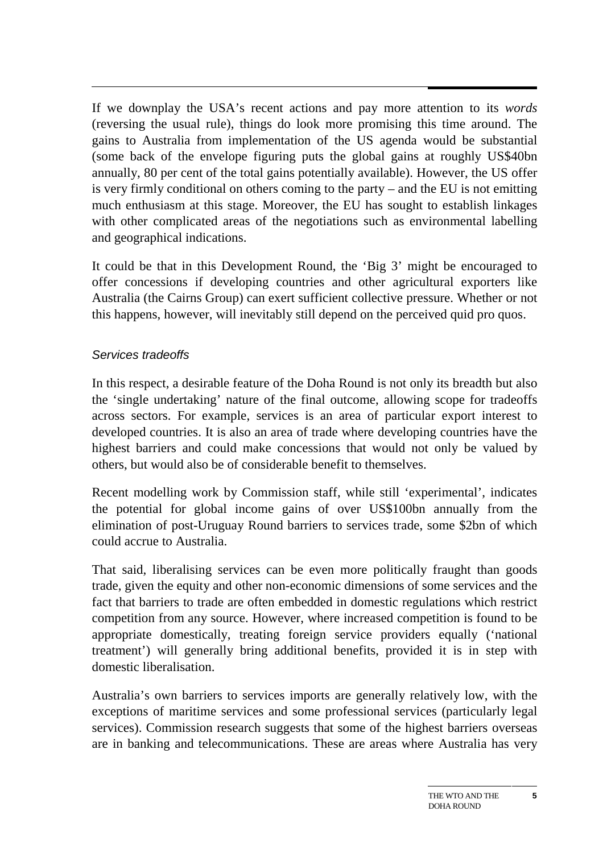If we downplay the USA's recent actions and pay more attention to its *words* (reversing the usual rule), things do look more promising this time around. The gains to Australia from implementation of the US agenda would be substantial (some back of the envelope figuring puts the global gains at roughly US\$40bn annually, 80 per cent of the total gains potentially available). However, the US offer is very firmly conditional on others coming to the party – and the EU is not emitting much enthusiasm at this stage. Moreover, the EU has sought to establish linkages with other complicated areas of the negotiations such as environmental labelling and geographical indications.

It could be that in this Development Round, the 'Big 3' might be encouraged to offer concessions if developing countries and other agricultural exporters like Australia (the Cairns Group) can exert sufficient collective pressure. Whether or not this happens, however, will inevitably still depend on the perceived quid pro quos.

#### Services tradeoffs

In this respect, a desirable feature of the Doha Round is not only its breadth but also the 'single undertaking' nature of the final outcome, allowing scope for tradeoffs across sectors. For example, services is an area of particular export interest to developed countries. It is also an area of trade where developing countries have the highest barriers and could make concessions that would not only be valued by others, but would also be of considerable benefit to themselves.

Recent modelling work by Commission staff, while still 'experimental', indicates the potential for global income gains of over US\$100bn annually from the elimination of post-Uruguay Round barriers to services trade, some \$2bn of which could accrue to Australia.

That said, liberalising services can be even more politically fraught than goods trade, given the equity and other non-economic dimensions of some services and the fact that barriers to trade are often embedded in domestic regulations which restrict competition from any source. However, where increased competition is found to be appropriate domestically, treating foreign service providers equally ('national treatment') will generally bring additional benefits, provided it is in step with domestic liberalisation.

Australia's own barriers to services imports are generally relatively low, with the exceptions of maritime services and some professional services (particularly legal services). Commission research suggests that some of the highest barriers overseas are in banking and telecommunications. These are areas where Australia has very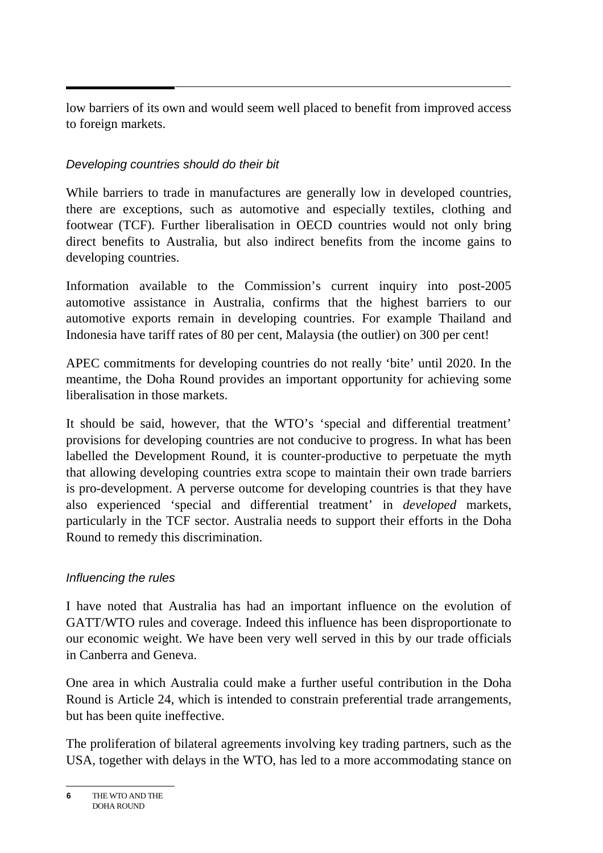low barriers of its own and would seem well placed to benefit from improved access to foreign markets.

## Developing countries should do their bit

While barriers to trade in manufactures are generally low in developed countries, there are exceptions, such as automotive and especially textiles, clothing and footwear (TCF). Further liberalisation in OECD countries would not only bring direct benefits to Australia, but also indirect benefits from the income gains to developing countries.

Information available to the Commission's current inquiry into post-2005 automotive assistance in Australia, confirms that the highest barriers to our automotive exports remain in developing countries. For example Thailand and Indonesia have tariff rates of 80 per cent, Malaysia (the outlier) on 300 per cent!

APEC commitments for developing countries do not really 'bite' until 2020. In the meantime, the Doha Round provides an important opportunity for achieving some liberalisation in those markets.

It should be said, however, that the WTO's 'special and differential treatment' provisions for developing countries are not conducive to progress. In what has been labelled the Development Round, it is counter-productive to perpetuate the myth that allowing developing countries extra scope to maintain their own trade barriers is pro-development. A perverse outcome for developing countries is that they have also experienced 'special and differential treatment' in *developed* markets, particularly in the TCF sector. Australia needs to support their efforts in the Doha Round to remedy this discrimination.

#### Influencing the rules

I have noted that Australia has had an important influence on the evolution of GATT/WTO rules and coverage. Indeed this influence has been disproportionate to our economic weight. We have been very well served in this by our trade officials in Canberra and Geneva.

One area in which Australia could make a further useful contribution in the Doha Round is Article 24, which is intended to constrain preferential trade arrangements, but has been quite ineffective.

The proliferation of bilateral agreements involving key trading partners, such as the USA, together with delays in the WTO, has led to a more accommodating stance on

**<sup>6</sup>** THE WTO AND THE DOHA ROUND